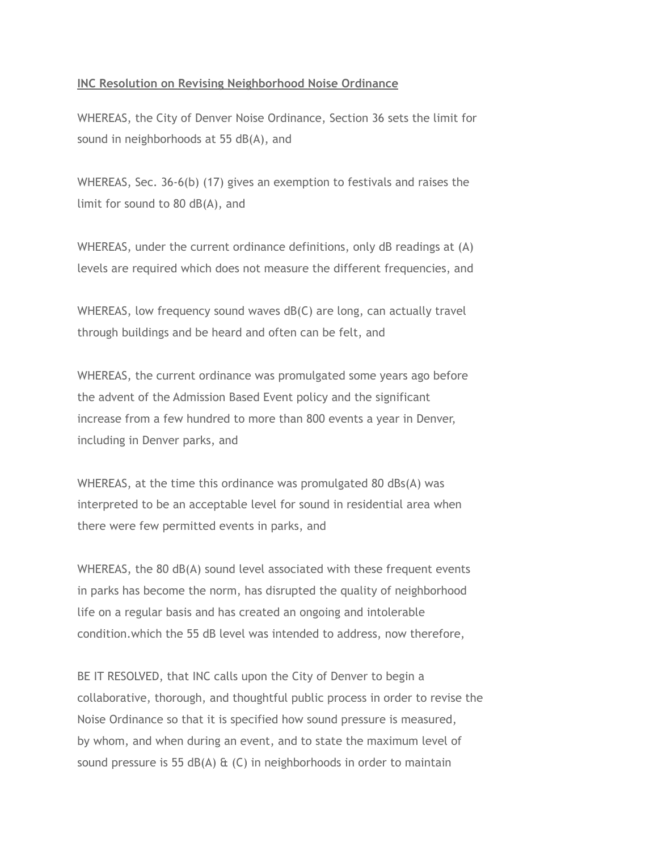## **INC Resolution on Revising Neighborhood Noise Ordinance**

WHEREAS, the City of Denver Noise Ordinance, Section 36 sets the limit for sound in neighborhoods at 55 dB(A), and

WHEREAS, Sec. 36-6(b) (17) gives an exemption to festivals and raises the limit for sound to 80 dB(A), and

WHEREAS, under the current ordinance definitions, only dB readings at (A) levels are required which does not measure the different frequencies, and

WHEREAS, low frequency sound waves dB(C) are long, can actually travel through buildings and be heard and often can be felt, and

WHEREAS, the current ordinance was promulgated some years ago before the advent of the Admission Based Event policy and the significant increase from a few hundred to more than 800 events a year in Denver, including in Denver parks, and

WHEREAS, at the time this ordinance was promulgated 80 dBs(A) was interpreted to be an acceptable level for sound in residential area when there were few permitted events in parks, and

WHEREAS, the 80 dB(A) sound level associated with these frequent events in parks has become the norm, has disrupted the quality of neighborhood life on a regular basis and has created an ongoing and intolerable condition.which the 55 dB level was intended to address, now therefore,

BE IT RESOLVED, that INC calls upon the City of Denver to begin a collaborative, thorough, and thoughtful public process in order to revise the Noise Ordinance so that it is specified how sound pressure is measured, by whom, and when during an event, and to state the maximum level of sound pressure is 55 dB(A)  $\&$  (C) in neighborhoods in order to maintain